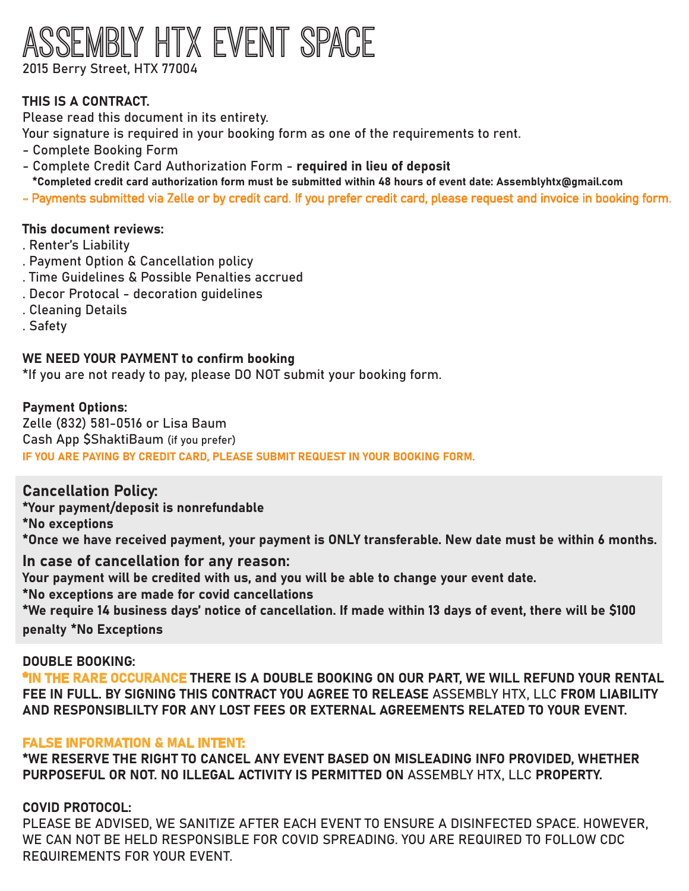# MBLY HTX EVENT SPACE 2015 Berry Street, HTX 77004

THIS IS A CONTRACT.

Please read this document in its entirety.

Your signature is required in your booking form as one of the requirements to rent.

- Complete Booking Form
- Complete Credit Card Authorization Form required in lieu of deposit
- \*Completed credit card authorization form must be submitted within 48 hours of event date: Assemblyhtx@gmail.com
- Payments submitted via Zelle or by credit card. If you prefer credit card, please request and invoice in booking form.

### This document reviews:

- . Renter's Liability
- . Payment Option & Cancellation policy
- . Time Guidelines & Possible Penalties accrued
- . Decor Protocal decoration guidelines
- . Cleaning Details
- . Safety

### WE NEED YOUR PAYMENT to confirm booking

\*If you are not ready to pay, please DO NOT submit your booking form.

# Payment Options:

Zelle (832) 581-0516 or Lisa Baum Cash App SShaktiBaum (if you prefer) IF YOU ARE PAYING BY CREDIT CARD, PLEASE SUBMIT REQUEST IN YOUR BOOKING FORM.

# Cancellation Policy:

\*Your payment/deposit is nonrefundable

\*No exceptions

\*Once we have received payment, your payment is ONLY transferable. New date must be within 6 months.

# In case of cancellation for any reason:

Your payment will be credited with us, and you will be able to change your event date.

\*No exceptions are made for covid cancellations

\*We require 14 business days' notice of cancellation. If made within 13 days of event, there will be �100 penalty \*No Exceptions

#### DOUBLE BOOKING:

\*IN THE RARE OCCURANCE THERE IS A DOUBLE BOOKING ON OUR PART, WE WILL REFUND YOUR RENTAL FEE IN FULL. BY SIGNING THIS CONTRACT YOU AGREE TO RELEASE ASSEMBLY HTX, LLC FROM LIABILITY AND RESPONSIBLILTY FOR ANY LOST FEES OR EXTERNAL AGREEMENTS RELATED TO YOUR EVENT.

#### FALSE INFORMATION & MAL INTENT:

\*WE RESERVE THE RIGHT TO CANCEL ANY EVENT BASED ON MISLEADING INFO PROVIDED, WHETHER PURPOSEFUL OR NOT. NO ILLEGAL ACTIVITY IS PERMITTED ON ASSEMBLY HTX, LLC PROPERTY.

# COVID PROTOCOL:

PLEASE BE ADVISED, WE SANITIZE AFTER EACH EVENT TO ENSURE A DISINFECTED SPACE. HOWEVER, WE CAN NOT BE HELD RESPONSIBLE FOR COVID SPREADING. YOU ARE REQUIRED TO FOLLOW CDC REQUIREMENTS FOR YOUR EVENT.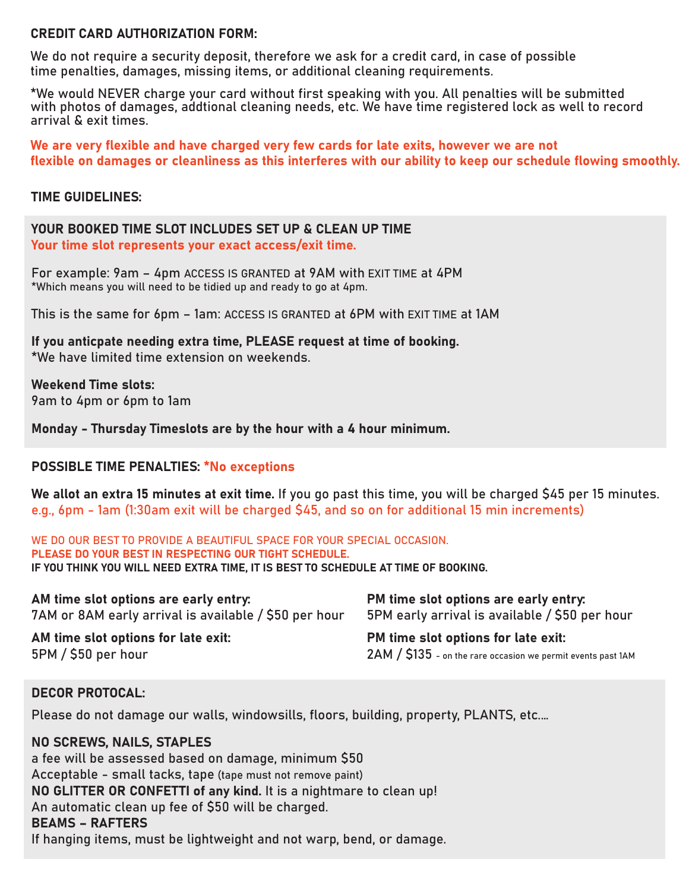#### CREDIT CARD AUTHORIZATION FORM:

We do not require a security deposit, therefore we ask for a credit card, in case of possible time penalties, damages, missing items, or additional cleaning requirements.

\*We would NEVER charge your card without first speaking with you. All penalties will be submitted with photos of damages, addtional cleaning needs, etc. We have time registered lock as well to record arrival & exit times.

We are very flexible and have charged very few cards for late exits, however we are not flexible on damages or cleanliness as this interferes with our ability to keep our schedule flowing smoothly.

#### TIME GUIDELINES:

YOUR BOOKED TIME SLOT INCLUDES SET UP & CLEAN UP TIME Your time slot represents your exact access/exit time.

For example: 9am – 4pm ACCESS IS GRANTED at 9AM with EXIT TIME at 4PM \*Which means you will need to be tidied up and ready to go at 4pm.

This is the same for 6pm – 1am: ACCESS IS GRANTED at 6PM with EXIT TIME at 1AM

If you anticpate needing extra time, PLEASE request at time of booking. \*We have limited time extension on weekends.

Weekend Time slots: 9am to 4pm or 6pm to 1am

Monday - Thursday Timeslots are by the hour with a 4 hour minimum.

### POSSIBLE TIME PENALTIES: \*No exceptions

We allot an extra 15 minutes at exit time. If you go past this time, you will be charged \$45 per 15 minutes. e.g., 6pm - 1am (1:30am exit will be charged \$45, and so on for additional 15 min increments)

WE DO OUR BEST TO PROVIDE A BEAUTIFUL SPACE FOR YOUR SPECIAL OCCASION. PLEASE DO YOUR BEST IN RESPECTING OUR TIGHT SCHEDULE. IF YOU THINK YOU WILL NEED EXTRA TIME, IT IS BEST TO SCHEDULE AT TIME OF BOOKING.

AM time slot options are early entry: 7AM or 8AM early arrival is available / \$50 per hour

AM time slot options for late exit: 5PM / �50 per hour

PM time slot options are early entry: 5PM early arrival is available / �50 per hour

PM time slot options for late exit: 2AM / \$135 - on the rare occasion we permit events past 1AM

#### DECOR PROTOCAL:

Please do not damage our walls, windowsills, floors, building, property, PLANTS, etc.…

NO SCREWS, NAILS, STAPLES a fee will be assessed based on damage, minimum \$50 Acceptable - small tacks, tape (tape must not remove paint) NO GLITTER OR CONFETTI of any kind. It is a nightmare to clean up! An automatic clean up fee of �50 will be charged. BEAMS – RAFTERS If hanging items, must be lightweight and not warp, bend, or damage.